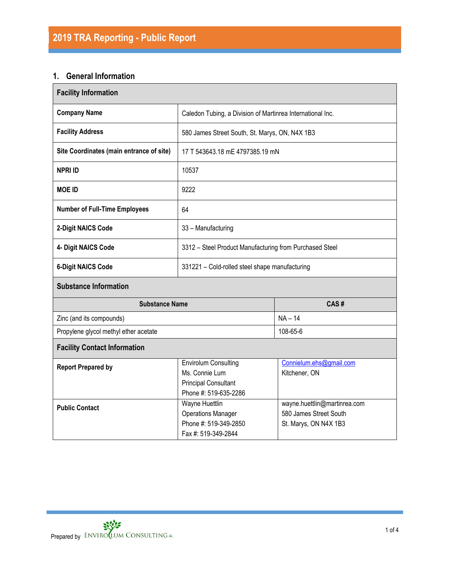## **1. General Information**

| <b>Facility Information</b>              |                                                                                                       |                                          |  |  |  |
|------------------------------------------|-------------------------------------------------------------------------------------------------------|------------------------------------------|--|--|--|
| <b>Company Name</b>                      | Caledon Tubing, a Division of Martinrea International Inc.                                            |                                          |  |  |  |
| <b>Facility Address</b>                  | 580 James Street South, St. Marys, ON, N4X 1B3                                                        |                                          |  |  |  |
| Site Coordinates (main entrance of site) | 17 T 543643.18 mE 4797385.19 mN                                                                       |                                          |  |  |  |
| <b>NPRI ID</b>                           | 10537                                                                                                 |                                          |  |  |  |
| <b>MOE ID</b>                            | 9222                                                                                                  |                                          |  |  |  |
| <b>Number of Full-Time Employees</b>     | 64                                                                                                    |                                          |  |  |  |
| 2-Digit NAICS Code                       | 33 - Manufacturing                                                                                    |                                          |  |  |  |
| 4- Digit NAICS Code                      | 3312 - Steel Product Manufacturing from Purchased Steel                                               |                                          |  |  |  |
| <b>6-Digit NAICS Code</b>                | 331221 - Cold-rolled steel shape manufacturing                                                        |                                          |  |  |  |
| <b>Substance Information</b>             |                                                                                                       |                                          |  |  |  |
| <b>Substance Name</b>                    |                                                                                                       | CAS#                                     |  |  |  |
| Zinc (and its compounds)                 |                                                                                                       | $NA - 14$                                |  |  |  |
| Propylene glycol methyl ether acetate    |                                                                                                       | 108-65-6                                 |  |  |  |
| <b>Facility Contact Information</b>      |                                                                                                       |                                          |  |  |  |
| <b>Report Prepared by</b>                | <b>Envirolum Consulting</b><br>Ms. Connie Lum<br><b>Principal Consultant</b><br>Phone #: 519-635-2286 | Connielum.ehs@gmail.com<br>Kitchener, ON |  |  |  |
| <b>Public Contact</b>                    | wayne.huettlin@martinrea.com<br>580 James Street South<br>St. Marys, ON N4X 1B3                       |                                          |  |  |  |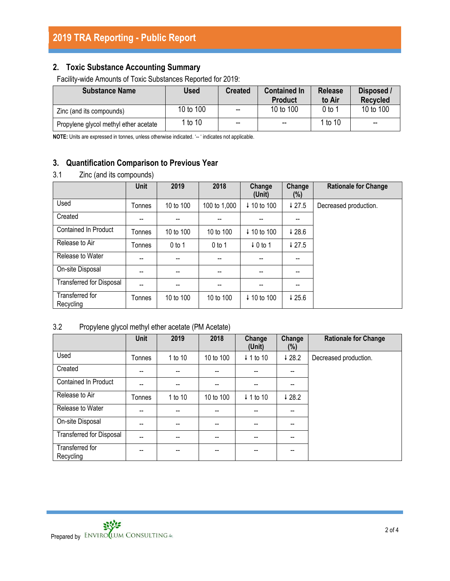# **2. Toxic Substance Accounting Summary**

Facility-wide Amounts of Toxic Substances Reported for 2019:

| <b>Substance Name</b>                 | Used      | <b>Created</b>           | <b>Contained In</b><br><b>Product</b> | <b>Release</b><br>to Air | Disposed /<br><b>Recycled</b> |
|---------------------------------------|-----------|--------------------------|---------------------------------------|--------------------------|-------------------------------|
| Zinc (and its compounds)              | 10 to 100 | $\overline{\phantom{a}}$ | 10 to 100                             | 0 to 1                   | 10 to 100                     |
| Propylene glycol methyl ether acetate | 1 to 10   | $\overline{\phantom{a}}$ | $- -$                                 | 1 to 10                  | --                            |

**NOTE:** Units are expressed in tonnes, unless otherwise indicated. '-- ' indicates not applicable.

## **3. Quantification Comparison to Previous Year**

### 3.1 Zinc (and its compounds)

|                                 | <b>Unit</b> | 2019                     | 2018         | Change<br>(Unit)    | Change<br>(%)            | <b>Rationale for Change</b> |
|---------------------------------|-------------|--------------------------|--------------|---------------------|--------------------------|-----------------------------|
| Used                            | Tonnes      | 10 to 100                | 100 to 1,000 | ↓ 10 to 100         | 427.5                    | Decreased production.       |
| Created                         | --          |                          |              |                     | --                       |                             |
| <b>Contained In Product</b>     | Tonnes      | 10 to 100                | 10 to 100    | ↓ 10 to 100         | 428.6                    |                             |
| Release to Air                  | Tonnes      | $0$ to 1                 | $0$ to 1     | $\downarrow$ 0 to 1 | $\downarrow$ 27.5        |                             |
| Release to Water                | --          | $\overline{\phantom{a}}$ | --           | --                  | $\overline{\phantom{a}}$ |                             |
| On-site Disposal                | --          |                          |              |                     |                          |                             |
| <b>Transferred for Disposal</b> | --          | $- -$                    |              | --                  | --                       |                             |
| Transferred for<br>Recycling    | Tonnes      | 10 to 100                | 10 to 100    | ↓ 10 to 100         | 425.6                    |                             |

### 3.2 Propylene glycol methyl ether acetate (PM Acetate)

|                                 | Unit   | 2019    | 2018      | Change<br>(Unit)     | Change<br>(%) | <b>Rationale for Change</b> |
|---------------------------------|--------|---------|-----------|----------------------|---------------|-----------------------------|
| Used                            | Tonnes | 1 to 10 | 10 to 100 | $\downarrow$ 1 to 10 | 428.2         | Decreased production.       |
| Created                         | --     | $- -$   | --        | --                   | --            |                             |
| Contained In Product            | --     |         | --        | --                   | --            |                             |
| Release to Air                  | Tonnes | 1 to 10 | 10 to 100 | $\downarrow$ 1 to 10 | 428.2         |                             |
| Release to Water                | --     | $-$     | --        | $- -$                | --            |                             |
| On-site Disposal                | --     | $-$     | --        | $- -$                | --            |                             |
| <b>Transferred for Disposal</b> | --     |         | --        |                      | --            |                             |
| Transferred for<br>Recycling    | --     | $- -$   | --        | --                   | --            |                             |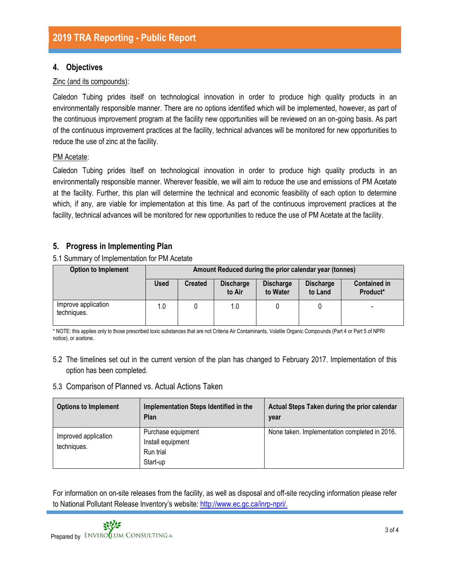### **4. Objectives**

#### Zinc (and its compounds):

Caledon Tubing prides itself on technological innovation in order to produce high quality products in an environmentally responsible manner. There are no options identified which will be implemented, however, as part of the continuous improvement program at the facility new opportunities will be reviewed on an on-going basis. As part of the continuous improvement practices at the facility, technical advances will be monitored for new opportunities to reduce the use of zinc at the facility.

#### PM Acetate:

Caledon Tubing prides itself on technological innovation in order to produce high quality products in an environmentally responsible manner. Wherever feasible, we will aim to reduce the use and emissions of PM Acetate at the facility. Further, this plan will determine the technical and economic feasibility of each option to determine which, if any, are viable for implementation at this time. As part of the continuous improvement practices at the facility, technical advances will be monitored for new opportunities to reduce the use of PM Acetate at the facility.

### **5. Progress in Implementing Plan**

5.1 Summary of Implementation for PM Acetate

| <b>Option to Implement</b>         | Amount Reduced during the prior calendar year (tonnes)                                                                                            |  |     |  |  |                          |  |
|------------------------------------|---------------------------------------------------------------------------------------------------------------------------------------------------|--|-----|--|--|--------------------------|--|
|                                    | <b>Used</b><br><b>Contained in</b><br><b>Discharge</b><br><b>Discharge</b><br><b>Created</b><br><b>Discharge</b><br>to Air<br>to Land<br>to Water |  |     |  |  |                          |  |
| Improve application<br>techniques. | 1.0                                                                                                                                               |  | 1.0 |  |  | $\overline{\phantom{0}}$ |  |

\* NOTE: this applies only to those prescribed toxic substances that are not Criteria Air Contaminants, Volatile Organic Compounds (Part 4 or Part 5 of NPRI notice), or acetone.

5.2 The timelines set out in the current version of the plan has changed to February 2017. Implementation of this option has been completed.

#### 5.3 Comparison of Planned vs. Actual Actions Taken

| <b>Options to Implement</b>         | Implementation Steps Identified in the<br>Plan                   | Actual Steps Taken during the prior calendar<br>year |
|-------------------------------------|------------------------------------------------------------------|------------------------------------------------------|
| Improved application<br>techniques. | Purchase equipment<br>Install equipment<br>Run trial<br>Start-up | None taken. Implementation completed in 2016.        |

For information on on-site releases from the facility, as well as disposal and off-site recycling information please refer to National Pollutant Release Inventory's website: [http://www.ec.gc.ca/inrp-npri/.](http://www.ec.gc.ca/inrp-npri/)